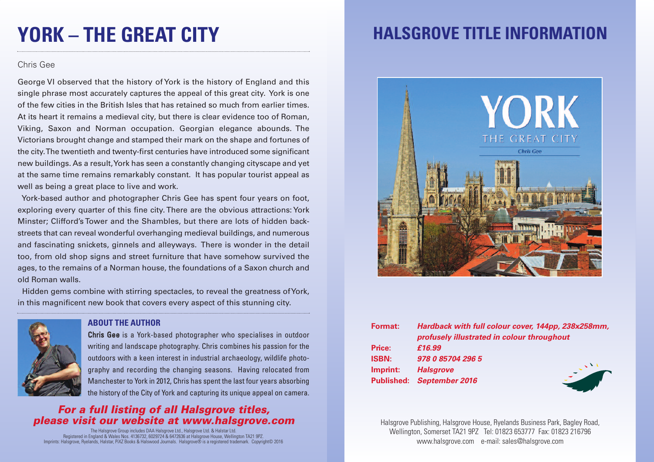# **YORK – THE GREAT CITY**

### Chris Gee

George VI observed that the history of York is the history of England and this single phrase most accurately captures the appeal of this great city. York is one of the few cities in the British Isles that has retained so much from earlier times. At its heart it remains a medieval city, but there is clear evidence too of Roman, Viking, Saxon and Norman occupation. Georgian elegance abounds. The Victorians brought change and stamped their mark on the shape and fortunes of the city.The twentieth and twenty-first centuries have introduced some significant new buildings. As a result,York has seen a constantly changing cityscape and yet at the same time remains remarkably constant. It has popular tourist appeal as well as being a great place to live and work.

York-based author and photographer Chris Gee has spent four years on foot, exploring every quarter of this fine city. There are the obvious attractions: York Minster; Clifford's Tower and the Shambles, but there are lots of hidden backstreets that can reveal wonderful overhanging medieval buildings, and numerous and fascinating snickets, ginnels and alleyways. There is wonder in the detail too, from old shop signs and street furniture that have somehow survived the ages, to the remains of a Norman house, the foundations of a Saxon church and old Roman walls.

Hidden gems combine with stirring spectacles, to reveal the greatness ofYork, in this magnificent new book that covers every aspect of this stunning city.



#### **ABOUT THE AUTHOR**

Chris Gee is a York-based photographer who specialises in outdoor writing and landscape photography. Chris combines his passion for the outdoors with a keen interest in industrial archaeology, wildlife photography and recording the changing seasons. Having relocated from Manchester to York in 2012, Chris has spent the last four years absorbing the history of the City of York and capturing its unique appeal on camera.

### *For a full listing of all Halsgrove titles, please visit our website at www.halsgrove.com*

The Halsgrove Group includes DAA Halsgrove Ltd., Halsgrove Ltd. & Halstar Ltd. Registered in England & Wales Nos. 4136732, 6029724 & 6472636 at Halsgrove House, Wellington TA21 9PZ. Imprints: Halsgrove, Ryelands, Halstar, PiXZ Books & Halswood Journals. Halsgrove® is a registered trademark. Copyright© 2016

## **HALSGROVE TITLE INFORMATION**



| Format:      | Hardback with full colour cover, 144pp, 238x258mm, |
|--------------|----------------------------------------------------|
|              | profusely illustrated in colour throughout         |
| Price:       | £16.99                                             |
| <b>ISBN:</b> | 978 0 85704 296 5                                  |
| Imprint:     | <b>Halsgrove</b>                                   |
|              | <b>Published: September 2016</b>                   |

Halsgrove Publishing, Halsgrove House, Ryelands Business Park, Bagley Road, Wellington, Somerset TA21 9PZ Tel: 01823 653777 Fax: 01823 216796 www.halsgrove.com e-mail: sales@halsgrove.com